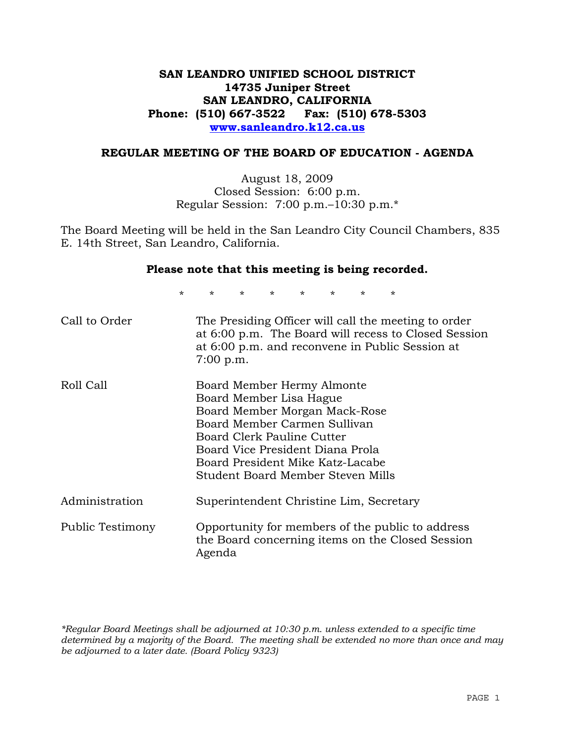# **SAN LEANDRO UNIFIED SCHOOL DISTRICT 14735 Juniper Street SAN LEANDRO, CALIFORNIA Phone: (510) 667-3522 Fax: (510) 678-5303 www.sanleandro.k12.ca.us**

### **REGULAR MEETING OF THE BOARD OF EDUCATION - AGENDA**

August 18, 2009 Closed Session: 6:00 p.m. Regular Session: 7:00 p.m.–10:30 p.m.\*

The Board Meeting will be held in the San Leandro City Council Chambers, 835 E. 14th Street, San Leandro, California.

#### **Please note that this meeting is being recorded.**

\* \* \* \* \* \* \* \*

| Call to Order    | The Presiding Officer will call the meeting to order<br>at 6:00 p.m. The Board will recess to Closed Session<br>at 6:00 p.m. and reconvene in Public Session at<br>$7:00$ p.m.                                                                                    |
|------------------|-------------------------------------------------------------------------------------------------------------------------------------------------------------------------------------------------------------------------------------------------------------------|
| Roll Call        | Board Member Hermy Almonte<br>Board Member Lisa Hague<br>Board Member Morgan Mack-Rose<br>Board Member Carmen Sullivan<br>Board Clerk Pauline Cutter<br>Board Vice President Diana Prola<br>Board President Mike Katz-Lacabe<br>Student Board Member Steven Mills |
| Administration   | Superintendent Christine Lim, Secretary                                                                                                                                                                                                                           |
| Public Testimony | Opportunity for members of the public to address<br>the Board concerning items on the Closed Session<br>Agenda                                                                                                                                                    |

*\*Regular Board Meetings shall be adjourned at 10:30 p.m. unless extended to a specific time determined by a majority of the Board. The meeting shall be extended no more than once and may be adjourned to a later date. (Board Policy 9323)*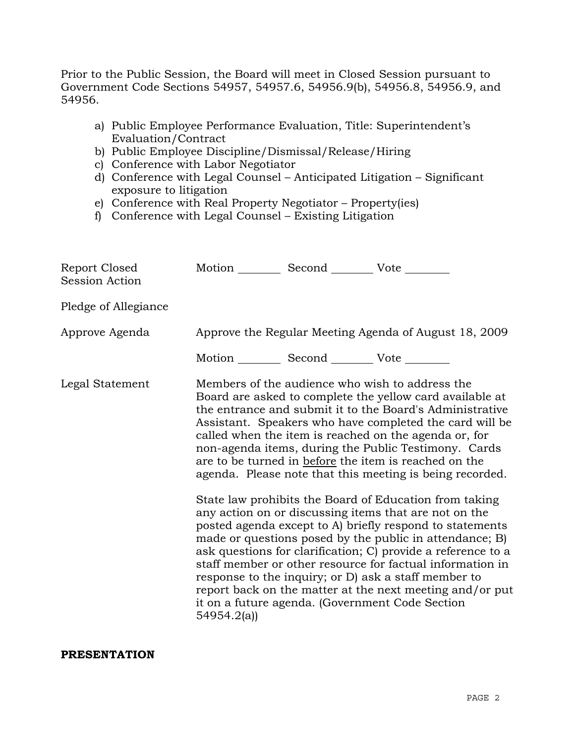Prior to the Public Session, the Board will meet in Closed Session pursuant to Government Code Sections 54957, 54957.6, 54956.9(b), 54956.8, 54956.9, and 54956.

- a) Public Employee Performance Evaluation, Title: Superintendent's Evaluation/Contract
- b) Public Employee Discipline/Dismissal/Release/Hiring
- c) Conference with Labor Negotiator
- d) Conference with Legal Counsel Anticipated Litigation Significant exposure to litigation
- e) Conference with Real Property Negotiator Property(ies)
- f) Conference with Legal Counsel Existing Litigation

| Report Closed<br><b>Session Action</b> |                                                       | Motion __________ Second __________ Vote ________     |                                                                                                                                                                                                                                                                                                                                                                                                                                                                                                                                                                                                                                                                                                                                                                                                                                                                                                                                                                                                                        |
|----------------------------------------|-------------------------------------------------------|-------------------------------------------------------|------------------------------------------------------------------------------------------------------------------------------------------------------------------------------------------------------------------------------------------------------------------------------------------------------------------------------------------------------------------------------------------------------------------------------------------------------------------------------------------------------------------------------------------------------------------------------------------------------------------------------------------------------------------------------------------------------------------------------------------------------------------------------------------------------------------------------------------------------------------------------------------------------------------------------------------------------------------------------------------------------------------------|
| Pledge of Allegiance                   |                                                       |                                                       |                                                                                                                                                                                                                                                                                                                                                                                                                                                                                                                                                                                                                                                                                                                                                                                                                                                                                                                                                                                                                        |
| Approve Agenda                         | Approve the Regular Meeting Agenda of August 18, 2009 |                                                       |                                                                                                                                                                                                                                                                                                                                                                                                                                                                                                                                                                                                                                                                                                                                                                                                                                                                                                                                                                                                                        |
|                                        |                                                       | Motion ___________ Second ____________ Vote _________ |                                                                                                                                                                                                                                                                                                                                                                                                                                                                                                                                                                                                                                                                                                                                                                                                                                                                                                                                                                                                                        |
| Legal Statement                        | 54954.2(a)                                            |                                                       | Members of the audience who wish to address the<br>Board are asked to complete the yellow card available at<br>the entrance and submit it to the Board's Administrative<br>Assistant. Speakers who have completed the card will be<br>called when the item is reached on the agenda or, for<br>non-agenda items, during the Public Testimony. Cards<br>are to be turned in before the item is reached on the<br>agenda. Please note that this meeting is being recorded.<br>State law prohibits the Board of Education from taking<br>any action on or discussing items that are not on the<br>posted agenda except to A) briefly respond to statements<br>made or questions posed by the public in attendance; B)<br>ask questions for clarification; C) provide a reference to a<br>staff member or other resource for factual information in<br>response to the inquiry; or D) ask a staff member to<br>report back on the matter at the next meeting and/or put<br>it on a future agenda. (Government Code Section |

## **PRESENTATION**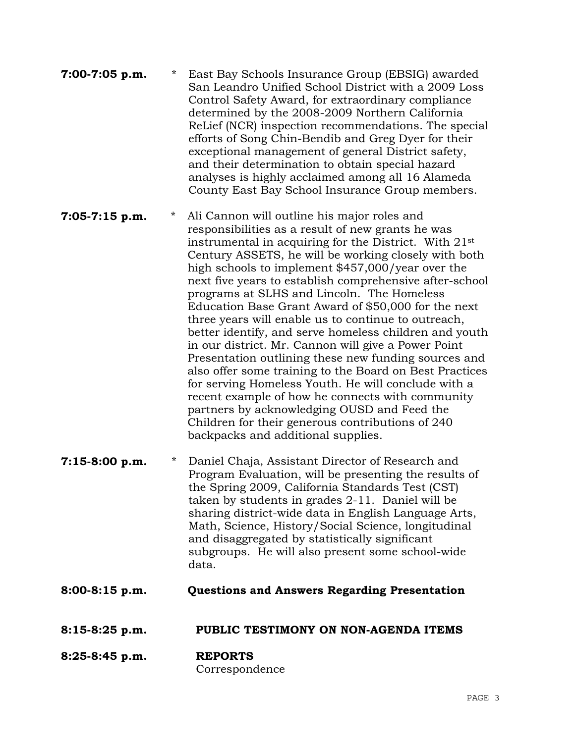| 7:00-7:05 p.m. | $\star$ | East Bay Schools Insurance Group (EBSIG) awarded     |
|----------------|---------|------------------------------------------------------|
|                |         | San Leandro Unified School District with a 2009 Loss |
|                |         | Control Safety Award, for extraordinary compliance   |
|                |         | determined by the 2008-2009 Northern California      |
|                |         | ReLief (NCR) inspection recommendations. The special |
|                |         | efforts of Song Chin-Bendib and Greg Dyer for their  |
|                |         | exceptional management of general District safety,   |
|                |         | and their determination to obtain special hazard     |
|                |         | analyses is highly acclaimed among all 16 Alameda    |
|                |         | County East Bay School Insurance Group members.      |

**7:05-7:15 p.m.** \* Ali Cannon will outline his major roles and responsibilities as a result of new grants he was instrumental in acquiring for the District. With 21st Century ASSETS, he will be working closely with both high schools to implement \$457,000/year over the next five years to establish comprehensive after-school programs at SLHS and Lincoln. The Homeless Education Base Grant Award of \$50,000 for the next three years will enable us to continue to outreach, better identify, and serve homeless children and youth in our district. Mr. Cannon will give a Power Point Presentation outlining these new funding sources and also offer some training to the Board on Best Practices for serving Homeless Youth. He will conclude with a recent example of how he connects with community partners by acknowledging OUSD and Feed the Children for their generous contributions of 240 backpacks and additional supplies.

- **7:15-8:00 p.m.** \* Daniel Chaja, Assistant Director of Research and Program Evaluation, will be presenting the results of the Spring 2009, California Standards Test (CST) taken by students in grades 2-11. Daniel will be sharing district-wide data in English Language Arts, Math, Science, History/Social Science, longitudinal and disaggregated by statistically significant subgroups. He will also present some school-wide data.
- **8:00-8:15 p.m. Questions and Answers Regarding Presentation**
- **8:15-8:25 p.m. PUBLIC TESTIMONY ON NON-AGENDA ITEMS**
- **8:25-8:45 p.m. REPORTS** Correspondence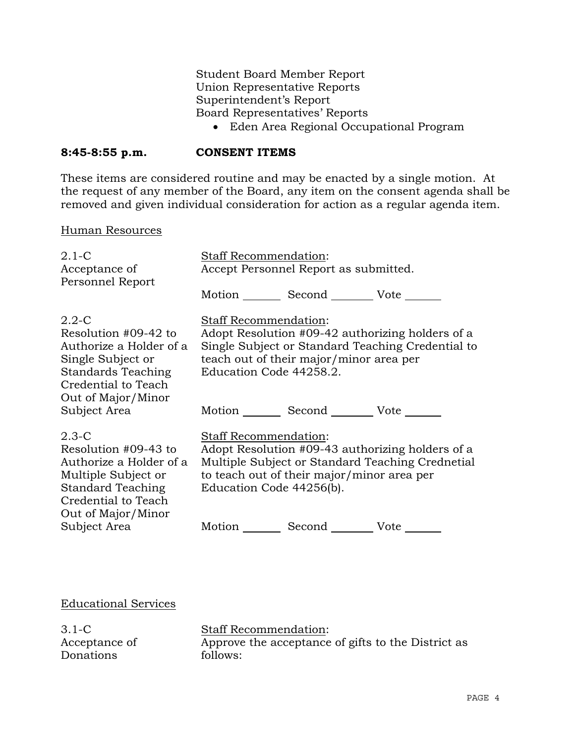Student Board Member Report Union Representative Reports Superintendent's Report Board Representatives' Reports

• Eden Area Regional Occupational Program

## **8:45-8:55 p.m. CONSENT ITEMS**

These items are considered routine and may be enacted by a single motion. At the request of any member of the Board, any item on the consent agenda shall be removed and given individual consideration for action as a regular agenda item.

#### Human Resources

| $2.1 - C$<br>Acceptance of<br>Personnel Report                                                                                                       | Staff Recommendation:                                                                                                                                                                                          | Accept Personnel Report as submitted.           |                                                                                                       |
|------------------------------------------------------------------------------------------------------------------------------------------------------|----------------------------------------------------------------------------------------------------------------------------------------------------------------------------------------------------------------|-------------------------------------------------|-------------------------------------------------------------------------------------------------------|
|                                                                                                                                                      |                                                                                                                                                                                                                | Motion _________ Second __________ Vote _______ |                                                                                                       |
| $2.2 - C$<br>Resolution #09-42 to<br>Authorize a Holder of a<br>Single Subject or<br>Standards Teaching<br>Credential to Teach<br>Out of Major/Minor | <b>Staff Recommendation:</b><br>Education Code 44258.2.                                                                                                                                                        | teach out of their major/minor area per         | Adopt Resolution #09-42 authorizing holders of a<br>Single Subject or Standard Teaching Credential to |
| Subject Area                                                                                                                                         |                                                                                                                                                                                                                | Motion Second Vote                              |                                                                                                       |
| $2.3-C$<br>Resolution #09-43 to<br>Authorize a Holder of a<br>Multiple Subject or<br>Standard Teaching<br>Credential to Teach<br>Out of Major/Minor  | <b>Staff Recommendation:</b><br>Adopt Resolution #09-43 authorizing holders of a<br>Multiple Subject or Standard Teaching Crednetial<br>to teach out of their major/minor area per<br>Education Code 44256(b). |                                                 |                                                                                                       |
| Subject Area                                                                                                                                         |                                                                                                                                                                                                                | Motion Second Vote ______                       |                                                                                                       |
|                                                                                                                                                      |                                                                                                                                                                                                                |                                                 |                                                                                                       |

Educational Services

3.1-C Acceptance of Donations

Staff Recommendation: Approve the acceptance of gifts to the District as follows: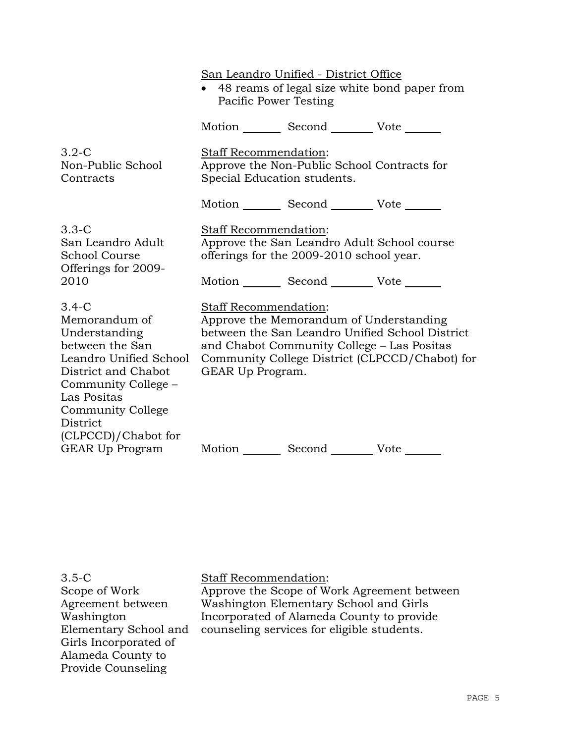San Leandro Unified - District Office • 48 reams of legal size white bond paper from Pacific Power Testing Motion Second Vote 3.2-C Non-Public School **Contracts** Staff Recommendation: Approve the Non-Public School Contracts for Special Education students. Motion Second Vote 3.3-C San Leandro Adult School Course Offerings for 2009- 2010 Staff Recommendation: Approve the San Leandro Adult School course offerings for the 2009-2010 school year. Motion Second Vote \_\_\_\_\_\_ 3.4-C Memorandum of Understanding between the San Leandro Unified School District and Chabot Community College – Las Positas Community College District (CLPCCD)/Chabot for Staff Recommendation: Approve the Memorandum of Understanding between the San Leandro Unified School District and Chabot Community College – Las Positas Community College District (CLPCCD/Chabot) for GEAR Up Program.

3.5-C Scope of Work Agreement between Washington Elementary School and Girls Incorporated of Alameda County to Provide Counseling

GEAR Up Program

Staff Recommendation:

Approve the Scope of Work Agreement between Washington Elementary School and Girls Incorporated of Alameda County to provide counseling services for eligible students.

Motion Second Vote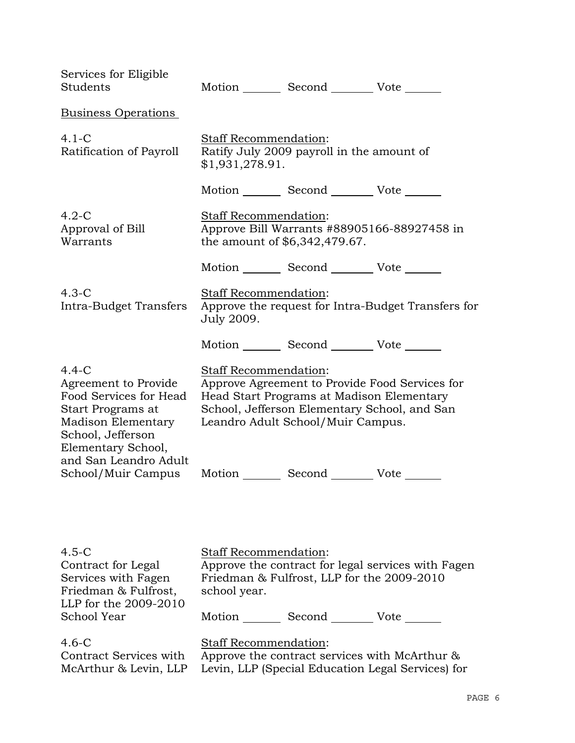| Services for Eligible<br>Students                                                                                                                                          |                                                                                       | Motion _________ Second __________ Vote _______                                                                                |                                                    |
|----------------------------------------------------------------------------------------------------------------------------------------------------------------------------|---------------------------------------------------------------------------------------|--------------------------------------------------------------------------------------------------------------------------------|----------------------------------------------------|
| <b>Business Operations</b>                                                                                                                                                 |                                                                                       |                                                                                                                                |                                                    |
| $4.1 - C$<br>Ratification of Payroll                                                                                                                                       | Staff Recommendation:<br>Ratify July 2009 payroll in the amount of<br>\$1,931,278.91. |                                                                                                                                |                                                    |
|                                                                                                                                                                            |                                                                                       | Motion _________ Second __________ Vote _______                                                                                |                                                    |
| $4.2-C$<br>Approval of Bill<br>Warrants                                                                                                                                    | Staff Recommendation:<br>the amount of \$6,342,479.67.                                |                                                                                                                                | Approve Bill Warrants #88905166-88927458 in        |
|                                                                                                                                                                            |                                                                                       | Motion _________ Second __________ Vote _______                                                                                |                                                    |
| $4.3-C$<br>Intra-Budget Transfers                                                                                                                                          | <b>Staff Recommendation:</b><br>July 2009.                                            |                                                                                                                                | Approve the request for Intra-Budget Transfers for |
|                                                                                                                                                                            |                                                                                       | Motion _________ Second __________ Vote _______                                                                                |                                                    |
| $4.4 - C$<br>Agreement to Provide<br>Food Services for Head<br>Start Programs at<br>Madison Elementary<br>School, Jefferson<br>Elementary School,<br>and San Leandro Adult | <b>Staff Recommendation:</b>                                                          | Head Start Programs at Madison Elementary<br>School, Jefferson Elementary School, and San<br>Leandro Adult School/Muir Campus. | Approve Agreement to Provide Food Services for     |
| School/Muir Campus                                                                                                                                                         |                                                                                       | Motion _________ Second __________ Vote _______                                                                                |                                                    |
| $4.5-C$<br>Contract for Legal<br>Services with Fagen<br>Friedman & Fulfrost,                                                                                               | Staff Recommendation:<br>school year.                                                 | Friedman & Fulfrost, LLP for the 2009-2010                                                                                     | Approve the contract for legal services with Fagen |
| LLP for the 2009-2010<br>School Year                                                                                                                                       |                                                                                       | Motion _________ Second ___________ Vote _______                                                                               |                                                    |

4.6-C Contract Services with McArthur & Levin, LLP Staff Recommendation:

Approve the contract services with McArthur & Levin, LLP (Special Education Legal Services) for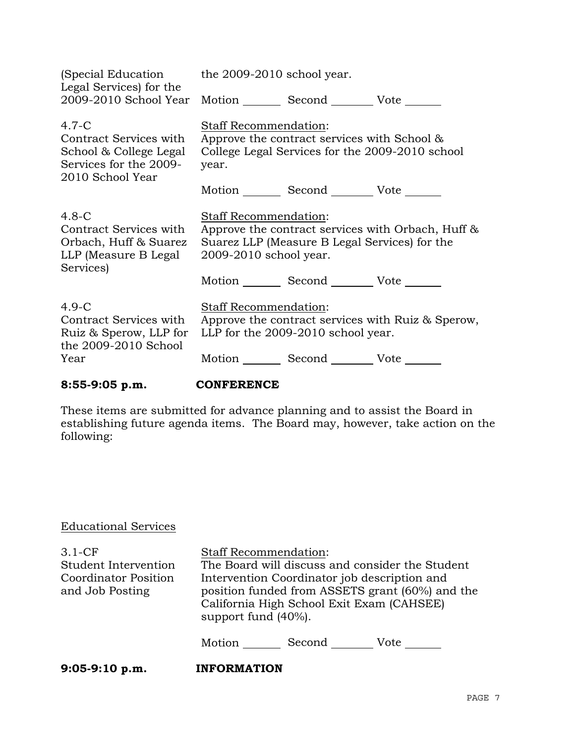| (Special Education<br>Legal Services) for the                                                               | the 2009-2010 school year.                                                                                                       |                                                 |                                                   |
|-------------------------------------------------------------------------------------------------------------|----------------------------------------------------------------------------------------------------------------------------------|-------------------------------------------------|---------------------------------------------------|
| 2009-2010 School Year                                                                                       |                                                                                                                                  | Motion Second Vote                              |                                                   |
| $4.7 - C$<br>Contract Services with<br>School & College Legal<br>Services for the 2009-<br>2010 School Year | Staff Recommendation:<br>Approve the contract services with School &<br>College Legal Services for the 2009-2010 school<br>year. |                                                 |                                                   |
|                                                                                                             |                                                                                                                                  | Motion Second Vote                              |                                                   |
| $4.8-C$<br>Contract Services with<br>Orbach, Huff & Suarez<br>LLP (Measure B Legal<br>Services)             | Staff Recommendation:<br>2009-2010 school year.                                                                                  | Suarez LLP (Measure B Legal Services) for the   | Approve the contract services with Orbach, Huff & |
|                                                                                                             |                                                                                                                                  | Motion _________ Second __________ Vote _______ |                                                   |
| $4.9-C$<br>Contract Services with<br>Ruiz & Sperow, LLP for<br>the 2009-2010 School                         | Staff Recommendation:                                                                                                            | LLP for the 2009-2010 school year.              | Approve the contract services with Ruiz & Sperow, |
| Year                                                                                                        |                                                                                                                                  | Motion Second Vote                              |                                                   |

**8:55-9:05 p.m. CONFERENCE**

These items are submitted for advance planning and to assist the Board in establishing future agenda items. The Board may, however, take action on the following:

# Educational Services

| $3.1-CF$<br>Student Intervention<br>Coordinator Position<br>and Job Posting | <b>Staff Recommendation:</b><br>The Board will discuss and consider the Student<br>Intervention Coordinator job description and<br>position funded from ASSETS grant (60%) and the<br>California High School Exit Exam (CAHSEE)<br>support fund (40%). |        |      |
|-----------------------------------------------------------------------------|--------------------------------------------------------------------------------------------------------------------------------------------------------------------------------------------------------------------------------------------------------|--------|------|
|                                                                             | Motion                                                                                                                                                                                                                                                 | Second | Vote |
| $9:05-9:10 p.m.$                                                            | <b>INFORMATION</b>                                                                                                                                                                                                                                     |        |      |